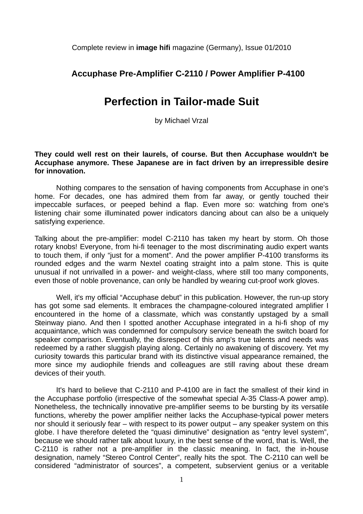Complete review in **image hifi** magazine (Germany), Issue 01/2010

## **Accuphase Pre-Amplifier C-2110 / Power Amplifier P-4100**

## **Perfection in Tailor-made Suit**

by Michael Vrzal

## **They could well rest on their laurels, of course. But then Accuphase wouldn't be Accuphase anymore. These Japanese are in fact driven by an irrepressible desire for innovation.**

Nothing compares to the sensation of having components from Accuphase in one's home. For decades, one has admired them from far away, or gently touched their impeccable surfaces, or peeped behind a flap. Even more so: watching from one's listening chair some illuminated power indicators dancing about can also be a uniquely satisfying experience.

Talking about the pre-amplifier: model C-2110 has taken my heart by storm. Oh those rotary knobs! Everyone, from hi-fi teenager to the most discriminating audio expert wants to touch them, if only "just for a moment". And the power amplifier P-4100 transforms its rounded edges and the warm Nextel coating straight into a palm stone. This is quite unusual if not unrivalled in a power- and weight-class, where still too many components, even those of noble provenance, can only be handled by wearing cut-proof work gloves.

Well, it's my official "Accuphase debut" in this publication. However, the run-up story has got some sad elements. It embraces the champagne-coloured integrated amplifier I encountered in the home of a classmate, which was constantly upstaged by a small Steinway piano. And then I spotted another Accuphase integrated in a hi-fi shop of my acquaintance, which was condemned for compulsory service beneath the switch board for speaker comparison. Eventually, the disrespect of this amp's true talents and needs was redeemed by a rather sluggish playing along. Certainly no awakening of discovery. Yet my curiosity towards this particular brand with its distinctive visual appearance remained, the more since my audiophile friends and colleagues are still raving about these dream devices of their youth.

 It's hard to believe that C-2110 and P-4100 are in fact the smallest of their kind in the Accuphase portfolio (irrespective of the somewhat special A-35 Class-A power amp). Nonetheless, the technically innovative pre-amplifier seems to be bursting by its versatile functions, whereby the power amplifier neither lacks the Accuphase-typical power meters nor should it seriously fear – with respect to its power output – any speaker system on this globe. I have therefore deleted the "quasi diminutive" designation as "entry level system", because we should rather talk about luxury, in the best sense of the word, that is. Well, the C-2110 is rather not a pre-amplifier in the classic meaning. In fact, the in-house designation, namely "Stereo Control Center", really hits the spot. The C-2110 can well be considered "administrator of sources", a competent, subservient genius or a veritable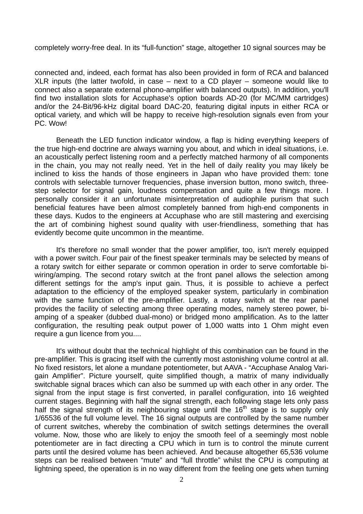completely worry-free deal. In its "full-function" stage, altogether 10 signal sources may be

connected and, indeed, each format has also been provided in form of RCA and balanced XLR inputs (the latter twofold, in case – next to a CD player – someone would like to connect also a separate external phono-amplifier with balanced outputs). In addition, you'll find two installation slots for Accuphase's option boards AD-20 (for MC/MM cartridges) and/or the 24-Bit/96-kHz digital board DAC-20, featuring digital inputs in either RCA or optical variety, and which will be happy to receive high-resolution signals even from your PC. Wow!

 Beneath the LED function indicator window, a flap is hiding everything keepers of the true high-end doctrine are always warning you about, and which in ideal situations, i.e. an acoustically perfect listening room and a perfectly matched harmony of all components in the chain, you may not really need. Yet in the hell of daily reality you may likely be inclined to kiss the hands of those engineers in Japan who have provided them: tone controls with selectable turnover frequencies, phase inversion button, mono switch, threestep selector for signal gain, loudness compensation and quite a few things more. I personally consider it an unfortunate misinterpretation of audiophile purism that such beneficial features have been almost completely banned from high-end components in these days. Kudos to the engineers at Accuphase who are still mastering and exercising the art of combining highest sound quality with user-friendliness, something that has evidently become quite uncommon in the meantime.

 It's therefore no small wonder that the power amplifier, too, isn't merely equipped with a power switch. Four pair of the finest speaker terminals may be selected by means of a rotary switch for either separate or common operation in order to serve comfortable biwiring/amping. The second rotary switch at the front panel allows the selection among different settings for the amp's input gain. Thus, it is possible to achieve a perfect adaptation to the efficiency of the employed speaker system, particularly in combination with the same function of the pre-amplifier. Lastly, a rotary switch at the rear panel provides the facility of selecting among three operating modes, namely stereo power, biamping of a speaker (dubbed dual-mono) or bridged mono amplification. As to the latter configuration, the resulting peak output power of 1,000 watts into 1 Ohm might even require a gun licence from you....

 It's without doubt that the technical highlight of this combination can be found in the pre-amplifier. This is gracing itself with the currently most astonishing volume control at all. No fixed resistors, let alone a mundane potentiometer, but AAVA - "Accuphase Analog Varigain Amplifier". Picture yourself, quite simplified though, a matrix of many individually switchable signal braces which can also be summed up with each other in any order. The signal from the input stage is first converted, in parallel configuration, into 16 weighted current stages. Beginning with half the signal strength, each following stage lets only pass half the signal strength of its neighbouring stage until the 16<sup>th</sup> stage is to supply only 1/65536 of the full volume level. The 16 signal outputs are controlled by the same number of current switches, whereby the combination of switch settings determines the overall volume. Now, those who are likely to enjoy the smooth feel of a seemingly most noble potentiometer are in fact directing a CPU which in turn is to control the minute current parts until the desired volume has been achieved. And because altogether 65,536 volume steps can be realised between "mute" and "full throttle" whilst the CPU is computing at lightning speed, the operation is in no way different from the feeling one gets when turning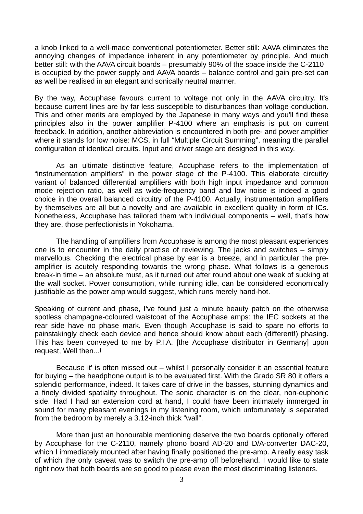a knob linked to a well-made conventional potentiometer. Better still: AAVA eliminates the annoying changes of impedance inherent in any potentiometer by principle. And much better still: with the AAVA circuit boards – presumably 90% of the space inside the C-2110 is occupied by the power supply and AAVA boards – balance control and gain pre-set can as well be realised in an elegant and sonically neutral manner.

By the way, Accuphase favours current to voltage not only in the AAVA circuitry. It's because current lines are by far less susceptible to disturbances than voltage conduction. This and other merits are employed by the Japanese in many ways and you'll find these principles also in the power amplifier P-4100 where an emphasis is put on current feedback. In addition, another abbreviation is encountered in both pre- and power amplifier where it stands for low noise: MCS, in full "Multiple Circuit Summing", meaning the parallel configuration of identical circuits. Input and driver stage are designed in this way.

 As an ultimate distinctive feature, Accuphase refers to the implementation of "instrumentation amplifiers" in the power stage of the P-4100. This elaborate circuitry variant of balanced differential amplifiers with both high input impedance and common mode rejection ratio, as well as wide-frequency band and low noise is indeed a good choice in the overall balanced circuitry of the P-4100. Actually, instrumentation amplifiers by themselves are all but a novelty and are available in excellent quality in form of ICs. Nonetheless, Accuphase has tailored them with individual components – well, that's how they are, those perfectionists in Yokohama.

 The handling of amplifiers from Accuphase is among the most pleasant experiences one is to encounter in the daily practise of reviewing. The jacks and switches – simply marvellous. Checking the electrical phase by ear is a breeze, and in particular the preamplifier is acutely responding towards the wrong phase. What follows is a generous break-in time – an absolute must, as it turned out after round about one week of sucking at the wall socket. Power consumption, while running idle, can be considered economically justifiable as the power amp would suggest, which runs merely hand-hot.

Speaking of current and phase, I've found just a minute beauty patch on the otherwise spotless champagne-coloured waistcoat of the Accuphase amps: the IEC sockets at the rear side have no phase mark. Even though Accuphase is said to spare no efforts to painstakingly check each device and hence should know about each (different!) phasing. This has been conveyed to me by P.I.A. [the Accuphase distributor in Germany] upon request, Well then...!

 Because it' is often missed out – whilst I personally consider it an essential feature for buying – the headphone output is to be evaluated first. With the Grado SR 80 it offers a splendid performance, indeed. It takes care of drive in the basses, stunning dynamics and a finely divided spatiality throughout. The sonic character is on the clear, non-euphonic side. Had I had an extension cord at hand, I could have been intimately immerged in sound for many pleasant evenings in my listening room, which unfortunately is separated from the bedroom by merely a 3.12-inch thick "wall".

 More than just an honourable mentioning deserve the two boards optionally offered by Accuphase for the C-2110, namely phono board AD-20 and D/A-converter DAC-20, which I immediately mounted after having finally positioned the pre-amp. A really easy task of which the only caveat was to switch the pre-amp off beforehand. I would like to state right now that both boards are so good to please even the most discriminating listeners.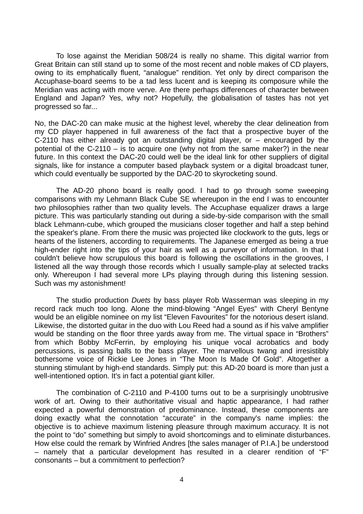To lose against the Meridian 508/24 is really no shame. This digital warrior from Great Britain can still stand up to some of the most recent and noble makes of CD players, owing to its emphatically fluent, "analogue" rendition. Yet only by direct comparison the Accuphase-board seems to be a tad less lucent and is keeping its composure while the Meridian was acting with more verve. Are there perhaps differences of character between England and Japan? Yes, why not? Hopefully, the globalisation of tastes has not yet progressed so far...

No, the DAC-20 can make music at the highest level, whereby the clear delineation from my CD player happened in full awareness of the fact that a prospective buyer of the C-2110 has either already got an outstanding digital player, or – encouraged by the potential of the C-2110 – is to acquire one (why not from the same maker?) in the near future. In this context the DAC-20 could well be the ideal link for other suppliers of digital signals, like for instance a computer based playback system or a digital broadcast tuner, which could eventually be supported by the DAC-20 to skyrocketing sound.

 The AD-20 phono board is really good. I had to go through some sweeping comparisons with my Lehmann Black Cube SE whereupon in the end I was to encounter two philosophies rather than two quality levels. The Accuphase equalizer draws a large picture. This was particularly standing out during a side-by-side comparison with the small black Lehmann-cube, which grouped the musicians closer together and half a step behind the speaker's plane. From there the music was projected like clockwork to the guts, legs or hearts of the listeners, according to requirements. The Japanese emerged as being a true high-ender right into the tips of your hair as well as a purveyor of information. In that I couldn't believe how scrupulous this board is following the oscillations in the grooves, I listened all the way through those records which I usually sample-play at selected tracks only. Whereupon I had several more LPs playing through during this listening session. Such was my astonishment!

 The studio production *Duets* by bass player Rob Wasserman was sleeping in my record rack much too long. Alone the mind-blowing "Angel Eyes" with Cheryl Bentyne would be an eligible nominee on my list "Eleven Favourites" for the notorious desert island. Likewise, the distorted guitar in the duo with Lou Reed had a sound as if his valve amplifier would be standing on the floor three yards away from me. The virtual space in "Brothers" from which Bobby McFerrin, by employing his unique vocal acrobatics and body percussions, is passing balls to the bass player. The marvellous twang and irresistibly bothersome voice of Rickie Lee Jones in "The Moon Is Made Of Gold". Altogether a stunning stimulant by high-end standards. Simply put: this AD-20 board is more than just a well-intentioned option. It's in fact a potential giant killer.

 The combination of C-2110 and P-4100 turns out to be a surprisingly unobtrusive work of art. Owing to their authoritative visual and haptic appearance, I had rather expected a powerful demonstration of predominance. Instead, these components are doing exactly what the connotation "accurate" in the company's name implies: the objective is to achieve maximum listening pleasure through maximum accuracy. It is not the point to "do" something but simply to avoid shortcomings and to eliminate disturbances. How else could the remark by Winfried Andres [the sales manager of P.I.A.] be understood – namely that a particular development has resulted in a clearer rendition of "F" consonants – but a commitment to perfection?